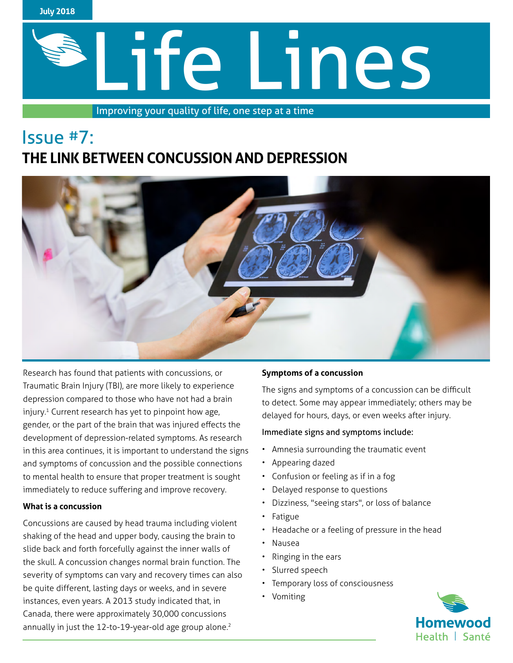

# Life Lines

Improving your quality of life, one step at a time

# Issue #7: **THE LINK BETWEEN CONCUSSION AND DEPRESSION**



Research has found that patients with concussions, or Traumatic Brain Injury (TBI), are more likely to experience depression compared to those who have not had a brain injury.<sup>1</sup> Current research has yet to pinpoint how age, gender, or the part of the brain that was injured effects the development of depression-related symptoms. As research in this area continues, it is important to understand the signs and symptoms of concussion and the possible connections to mental health to ensure that proper treatment is sought immediately to reduce suffering and improve recovery.

## **What is a concussion**

Concussions are caused by head trauma including violent shaking of the head and upper body, causing the brain to slide back and forth forcefully against the inner walls of the skull. A concussion changes normal brain function. The severity of symptoms can vary and recovery times can also be quite different, lasting days or weeks, and in severe instances, even years. A 2013 study indicated that, in Canada, there were approximately 30,000 concussions annually in just the 12-to-19-year-old age group alone.<sup>2</sup>

## **Symptoms of a concussion**

The signs and symptoms of a concussion can be difficult to detect. Some may appear immediately; others may be delayed for hours, days, or even weeks after injury.

## Immediate signs and symptoms include:

- Amnesia surrounding the traumatic event
- Appearing dazed
- Confusion or feeling as if in a fog
- Delayed response to questions
- Dizziness, "seeing stars", or loss of balance
- **Fatigue**
- Headache or a feeling of pressure in the head
- Nausea
- Ringing in the ears
- Slurred speech
- Temporary loss of consciousness
- Vomiting

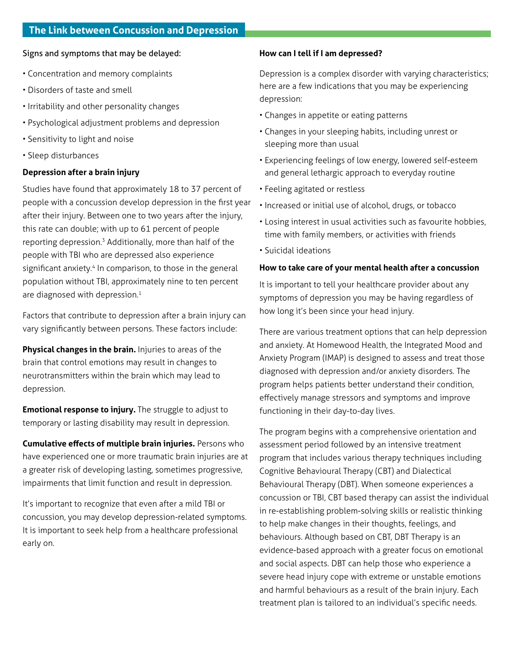### Signs and symptoms that may be delayed:

- Concentration and memory complaints
- Disorders of taste and smell
- Irritability and other personality changes
- Psychological adjustment problems and depression
- Sensitivity to light and noise
- Sleep disturbances

### **Depression after a brain injury**

Studies have found that approximately 18 to 37 percent of people with a concussion develop depression in the first year after their injury. Between one to two years after the injury, this rate can double; with up to 61 percent of people reporting depression.3 Additionally, more than half of the people with TBI who are depressed also experience significant anxiety.<sup>4</sup> In comparison, to those in the general population without TBI, approximately nine to ten percent are diagnosed with depression.<sup>1</sup>

Factors that contribute to depression after a brain injury can vary significantly between persons. These factors include:

**Physical changes in the brain.** Injuries to areas of the brain that control emotions may result in changes to neurotransmitters within the brain which may lead to depression.

**Emotional response to injury.** The struggle to adjust to temporary or lasting disability may result in depression.

**Cumulative effects of multiple brain injuries.** Persons who have experienced one or more traumatic brain injuries are at a greater risk of developing lasting, sometimes progressive, impairments that limit function and result in depression.

It's important to recognize that even after a mild TBI or concussion, you may develop depression-related symptoms. It is important to seek help from a healthcare professional early on.

### **How can I tell if I am depressed?**

Depression is a complex disorder with varying characteristics; here are a few indications that you may be experiencing depression:

- Changes in appetite or eating patterns
- Changes in your sleeping habits, including unrest or sleeping more than usual
- Experiencing feelings of low energy, lowered self-esteem and general lethargic approach to everyday routine
- Feeling agitated or restless
- Increased or initial use of alcohol, drugs, or tobacco
- Losing interest in usual activities such as favourite hobbies, time with family members, or activities with friends
- Suicidal ideations

### **How to take care of your mental health after a concussion**

It is important to tell your healthcare provider about any symptoms of depression you may be having regardless of how long it's been since your head injury.

There are various treatment options that can help depression and anxiety. At Homewood Health, the Integrated Mood and Anxiety Program (IMAP) is designed to assess and treat those diagnosed with depression and/or anxiety disorders. The program helps patients better understand their condition, effectively manage stressors and symptoms and improve functioning in their day-to-day lives.

The program begins with a comprehensive orientation and assessment period followed by an intensive treatment program that includes various therapy techniques including Cognitive Behavioural Therapy (CBT) and Dialectical Behavioural Therapy (DBT). When someone experiences a concussion or TBI, CBT based therapy can assist the individual in re-establishing problem-solving skills or realistic thinking to help make changes in their thoughts, feelings, and behaviours. Although based on CBT, DBT Therapy is an evidence-based approach with a greater focus on emotional and social aspects. DBT can help those who experience a severe head injury cope with extreme or unstable emotions and harmful behaviours as a result of the brain injury. Each treatment plan is tailored to an individual's specific needs.